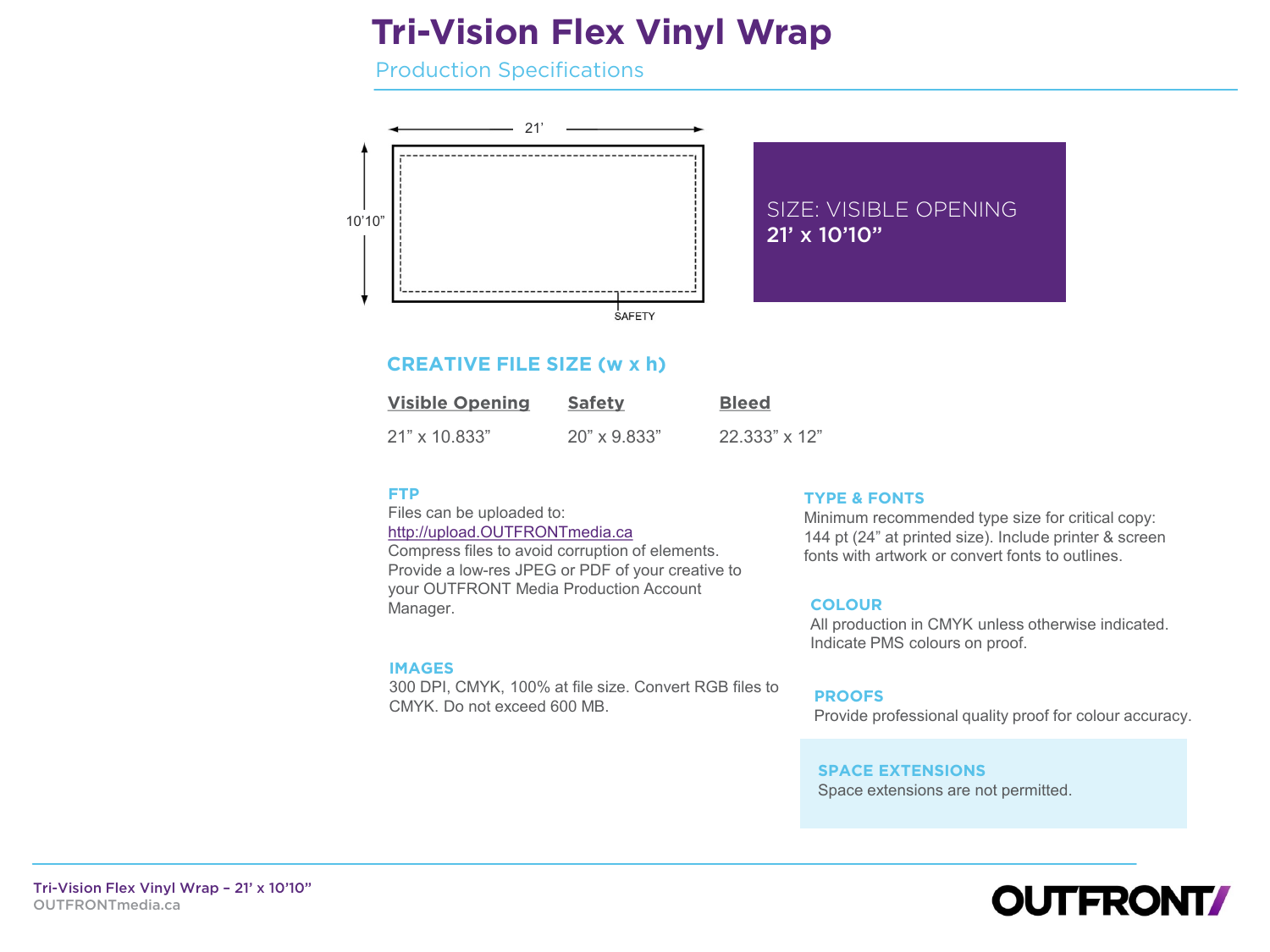# **Tri-Vision Flex Vinyl Wrap**

Production Specifications



# **CREATIVE FILE SIZE (w x h)**

| <b>Visible Opening</b> | <b>Safety</b>       | <b>Bleed</b>  |
|------------------------|---------------------|---------------|
| 21" x 10.833"          | $20" \times 9.833"$ | 22.333" x 12" |

## **FTP**

Files can be uploaded to: [http://upload.OUTFRONTmedia.ca](http://upload.outfrontmedia.ca/ftp/production/Login.aspx?ReturnUrl=/ftp/production/default.aspx) Compress files to avoid corruption of elements. Provide a low-res JPEG or PDF of your creative to your OUTFRONT Media Production Account Manager.

#### **IMAGES**

300 DPI, CMYK, 100% at file size. Convert RGB files to CMYK. Do not exceed 600 MB.

#### **TYPE & FONTS**

Minimum recommended type size for critical copy: 144 pt (24" at printed size). Include printer & screen fonts with artwork or convert fonts to outlines.

#### **COLOUR**

All production in CMYK unless otherwise indicated. Indicate PMS colours on proof.

#### **PROOFS**

Provide professional quality proof for colour accuracy.

#### **SPACE EXTENSIONS** Space extensions are not permitted.